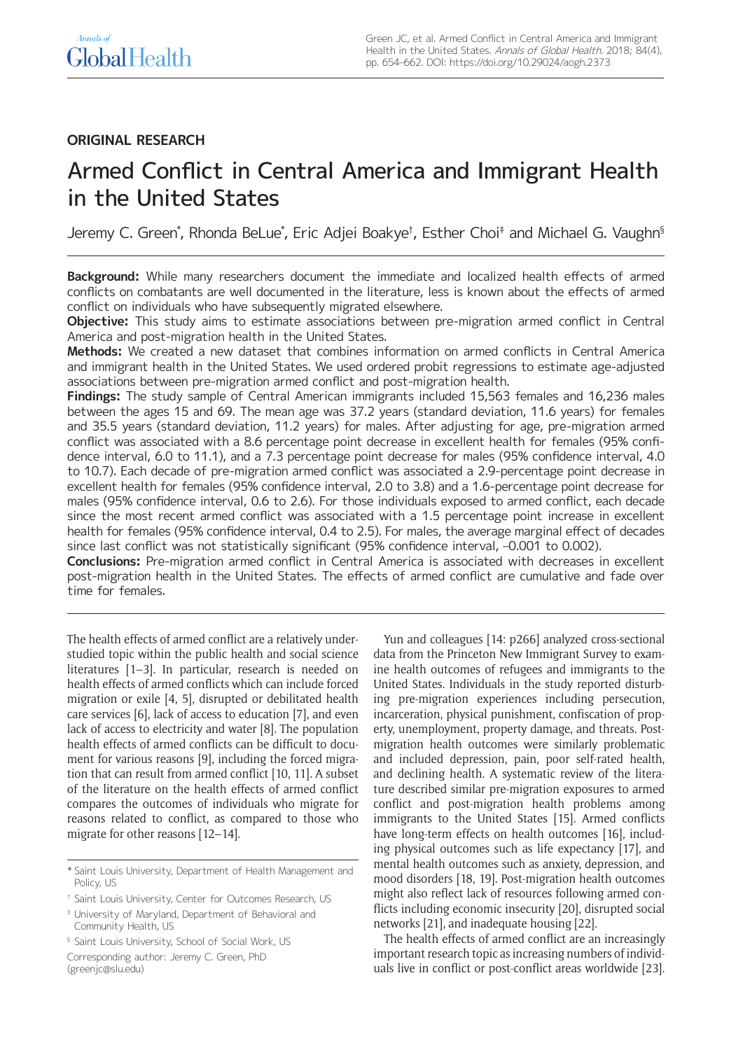# **ORIGINAL RESEARCH**

# Armed Conflict in Central America and Immigrant Health in the United States

Jeremy C. Green\*, Rhonda BeLue\*, Eric Adjei Boakye†, Esther Choi‡ and Michael G. Vaughn§

**Background:** While many researchers document the immediate and localized health effects of armed conflicts on combatants are well documented in the literature, less is known about the effects of armed conflict on individuals who have subsequently migrated elsewhere.

**Objective:** This study aims to estimate associations between pre-migration armed conflict in Central America and post-migration health in the United States.

**Methods:** We created a new dataset that combines information on armed conflicts in Central America and immigrant health in the United States. We used ordered probit regressions to estimate age-adjusted associations between pre-migration armed conflict and post-migration health.

**Findings:** The study sample of Central American immigrants included 15,563 females and 16,236 males between the ages 15 and 69. The mean age was 37.2 years (standard deviation, 11.6 years) for females and 35.5 years (standard deviation, 11.2 years) for males. After adjusting for age, pre-migration armed conflict was associated with a 8.6 percentage point decrease in excellent health for females (95% confidence interval, 6.0 to 11.1), and a 7.3 percentage point decrease for males (95% confidence interval, 4.0 to 10.7). Each decade of pre-migration armed conflict was associated a 2.9-percentage point decrease in excellent health for females (95% confidence interval, 2.0 to 3.8) and a 1.6-percentage point decrease for males (95% confidence interval, 0.6 to 2.6). For those individuals exposed to armed conflict, each decade since the most recent armed conflict was associated with a 1.5 percentage point increase in excellent health for females (95% confidence interval, 0.4 to 2.5). For males, the average marginal effect of decades since last conflict was not statistically significant (95% confidence interval, -0.001 to 0.002).

**Conclusions:** Pre-migration armed conflict in Central America is associated with decreases in excellent post-migration health in the United States. The effects of armed conflict are cumulative and fade over time for females.

The health effects of armed conflict are a relatively understudied topic within the public health and social science literatures [1–3]. In particular, research is needed on health effects of armed conflicts which can include forced migration or exile [4, 5], disrupted or debilitated health care services [6], lack of access to education [7], and even lack of access to electricity and water [8]. The population health effects of armed conflicts can be difficult to document for various reasons [9], including the forced migration that can result from armed conflict [10, 11]. A subset of the literature on the health effects of armed conflict compares the outcomes of individuals who migrate for reasons related to conflict, as compared to those who migrate for other reasons [12–14].

Yun and colleagues [14: p266] analyzed cross-sectional data from the Princeton New Immigrant Survey to examine health outcomes of refugees and immigrants to the United States. Individuals in the study reported disturbing pre-migration experiences including persecution, incarceration, physical punishment, confiscation of property, unemployment, property damage, and threats. Postmigration health outcomes were similarly problematic and included depression, pain, poor self-rated health, and declining health. A systematic review of the literature described similar pre-migration exposures to armed conflict and post-migration health problems among immigrants to the United States [15]. Armed conflicts have long-term effects on health outcomes [16], including physical outcomes such as life expectancy [17], and mental health outcomes such as anxiety, depression, and mood disorders [18, 19]. Post-migration health outcomes might also reflect lack of resources following armed conflicts including economic insecurity [20], disrupted social networks [21], and inadequate housing [22].

The health effects of armed conflict are an increasingly important research topic as increasing numbers of individuals live in conflict or post-conflict areas worldwide [23].

<sup>\*</sup> Saint Louis University, Department of Health Management and Policy, US

<sup>†</sup> Saint Louis University, Center for Outcomes Research, US

<sup>‡</sup> University of Maryland, Department of Behavioral and Community Health, US

<sup>§</sup> Saint Louis University, School of Social Work, US

Corresponding author: Jeremy C. Green, PhD ([greenjc@slu.edu](mailto:greenjc@slu.edu))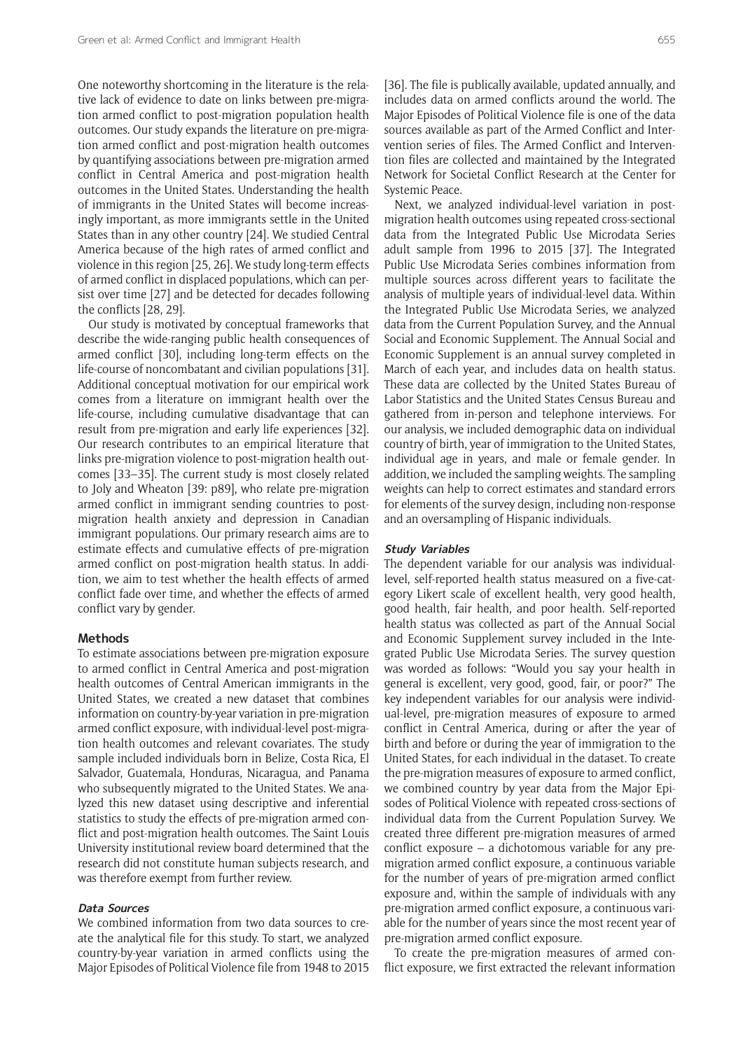One noteworthy shortcoming in the literature is the relative lack of evidence to date on links between pre-migration armed conflict to post-migration population health outcomes. Our study expands the literature on pre-migration armed conflict and post-migration health outcomes by quantifying associations between pre-migration armed conflict in Central America and post-migration health outcomes in the United States. Understanding the health of immigrants in the United States will become increasingly important, as more immigrants settle in the United States than in any other country [24]. We studied Central America because of the high rates of armed conflict and violence in this region [25, 26]. We study long-term effects of armed conflict in displaced populations, which can persist over time [27] and be detected for decades following the conflicts [28, 29].

Our study is motivated by conceptual frameworks that describe the wide-ranging public health consequences of armed conflict [30], including long-term effects on the life-course of noncombatant and civilian populations [31]. Additional conceptual motivation for our empirical work comes from a literature on immigrant health over the life-course, including cumulative disadvantage that can result from pre-migration and early life experiences [32]. Our research contributes to an empirical literature that links pre-migration violence to post-migration health outcomes [33–35]. The current study is most closely related to Joly and Wheaton [39: p89], who relate pre-migration armed conflict in immigrant sending countries to postmigration health anxiety and depression in Canadian immigrant populations. Our primary research aims are to estimate effects and cumulative effects of pre-migration armed conflict on post-migration health status. In addition, we aim to test whether the health effects of armed conflict fade over time, and whether the effects of armed conflict vary by gender.

#### **Methods**

To estimate associations between pre-migration exposure to armed conflict in Central America and post-migration health outcomes of Central American immigrants in the United States, we created a new dataset that combines information on country-by-year variation in pre-migration armed conflict exposure, with individual-level post-migration health outcomes and relevant covariates. The study sample included individuals born in Belize, Costa Rica, El Salvador, Guatemala, Honduras, Nicaragua, and Panama who subsequently migrated to the United States. We analyzed this new dataset using descriptive and inferential statistics to study the effects of pre-migration armed conflict and post-migration health outcomes. The Saint Louis University institutional review board determined that the research did not constitute human subjects research, and was therefore exempt from further review.

## **Data Sources**

We combined information from two data sources to create the analytical file for this study. To start, we analyzed country-by-year variation in armed conflicts using the Major Episodes of Political Violence file from 1948 to 2015

[36]. The file is publically available, updated annually, and includes data on armed conflicts around the world. The Major Episodes of Political Violence file is one of the data sources available as part of the Armed Conflict and Intervention series of files. The Armed Conflict and Intervention files are collected and maintained by the Integrated Network for Societal Conflict Research at the Center for Systemic Peace.

Next, we analyzed individual-level variation in postmigration health outcomes using repeated cross-sectional data from the Integrated Public Use Microdata Series adult sample from 1996 to 2015 [37]. The Integrated Public Use Microdata Series combines information from multiple sources across different years to facilitate the analysis of multiple years of individual-level data. Within the Integrated Public Use Microdata Series, we analyzed data from the Current Population Survey, and the Annual Social and Economic Supplement. The Annual Social and Economic Supplement is an annual survey completed in March of each year, and includes data on health status. These data are collected by the United States Bureau of Labor Statistics and the United States Census Bureau and gathered from in-person and telephone interviews. For our analysis, we included demographic data on individual country of birth, year of immigration to the United States, individual age in years, and male or female gender. In addition, we included the sampling weights. The sampling weights can help to correct estimates and standard errors for elements of the survey design, including non-response and an oversampling of Hispanic individuals.

#### **Study Variables**

The dependent variable for our analysis was individuallevel, self-reported health status measured on a five-category Likert scale of excellent health, very good health, good health, fair health, and poor health. Self-reported health status was collected as part of the Annual Social and Economic Supplement survey included in the Integrated Public Use Microdata Series. The survey question was worded as follows: "Would you say your health in general is excellent, very good, good, fair, or poor?" The key independent variables for our analysis were individual-level, pre-migration measures of exposure to armed conflict in Central America, during or after the year of birth and before or during the year of immigration to the United States, for each individual in the dataset. To create the pre-migration measures of exposure to armed conflict, we combined country by year data from the Major Episodes of Political Violence with repeated cross-sections of individual data from the Current Population Survey. We created three different pre-migration measures of armed conflict exposure – a dichotomous variable for any premigration armed conflict exposure, a continuous variable for the number of years of pre-migration armed conflict exposure and, within the sample of individuals with any pre-migration armed conflict exposure, a continuous variable for the number of years since the most recent year of pre-migration armed conflict exposure.

To create the pre-migration measures of armed conflict exposure, we first extracted the relevant information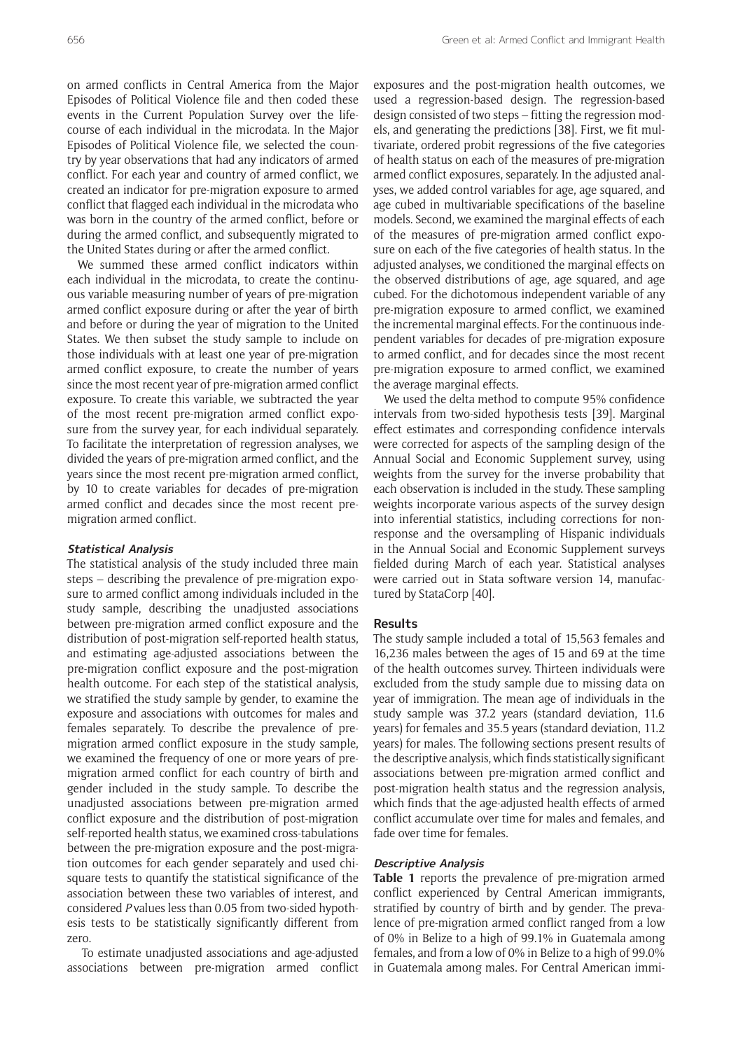on armed conflicts in Central America from the Major Episodes of Political Violence file and then coded these events in the Current Population Survey over the lifecourse of each individual in the microdata. In the Major Episodes of Political Violence file, we selected the country by year observations that had any indicators of armed conflict. For each year and country of armed conflict, we created an indicator for pre-migration exposure to armed conflict that flagged each individual in the microdata who was born in the country of the armed conflict, before or during the armed conflict, and subsequently migrated to the United States during or after the armed conflict.

We summed these armed conflict indicators within each individual in the microdata, to create the continuous variable measuring number of years of pre-migration armed conflict exposure during or after the year of birth and before or during the year of migration to the United States. We then subset the study sample to include on those individuals with at least one year of pre-migration armed conflict exposure, to create the number of years since the most recent year of pre-migration armed conflict exposure. To create this variable, we subtracted the year of the most recent pre-migration armed conflict exposure from the survey year, for each individual separately. To facilitate the interpretation of regression analyses, we divided the years of pre-migration armed conflict, and the years since the most recent pre-migration armed conflict, by 10 to create variables for decades of pre-migration armed conflict and decades since the most recent premigration armed conflict.

#### **Statistical Analysis**

The statistical analysis of the study included three main steps – describing the prevalence of pre-migration exposure to armed conflict among individuals included in the study sample, describing the unadjusted associations between pre-migration armed conflict exposure and the distribution of post-migration self-reported health status, and estimating age-adjusted associations between the pre-migration conflict exposure and the post-migration health outcome. For each step of the statistical analysis, we stratified the study sample by gender, to examine the exposure and associations with outcomes for males and females separately. To describe the prevalence of premigration armed conflict exposure in the study sample, we examined the frequency of one or more years of premigration armed conflict for each country of birth and gender included in the study sample. To describe the unadjusted associations between pre-migration armed conflict exposure and the distribution of post-migration self-reported health status, we examined cross-tabulations between the pre-migration exposure and the post-migration outcomes for each gender separately and used chisquare tests to quantify the statistical significance of the association between these two variables of interest, and considered *P* values less than 0.05 from two-sided hypothesis tests to be statistically significantly different from zero.

 To estimate unadjusted associations and age-adjusted associations between pre-migration armed conflict

exposures and the post-migration health outcomes, we used a regression-based design. The regression-based design consisted of two steps – fitting the regression models, and generating the predictions [38]. First, we fit multivariate, ordered probit regressions of the five categories of health status on each of the measures of pre-migration armed conflict exposures, separately. In the adjusted analyses, we added control variables for age, age squared, and age cubed in multivariable specifications of the baseline models. Second, we examined the marginal effects of each of the measures of pre-migration armed conflict exposure on each of the five categories of health status. In the adjusted analyses, we conditioned the marginal effects on the observed distributions of age, age squared, and age cubed. For the dichotomous independent variable of any pre-migration exposure to armed conflict, we examined the incremental marginal effects. For the continuous independent variables for decades of pre-migration exposure to armed conflict, and for decades since the most recent pre-migration exposure to armed conflict, we examined the average marginal effects.

We used the delta method to compute 95% confidence intervals from two-sided hypothesis tests [39]. Marginal effect estimates and corresponding confidence intervals were corrected for aspects of the sampling design of the Annual Social and Economic Supplement survey, using weights from the survey for the inverse probability that each observation is included in the study. These sampling weights incorporate various aspects of the survey design into inferential statistics, including corrections for nonresponse and the oversampling of Hispanic individuals in the Annual Social and Economic Supplement surveys fielded during March of each year. Statistical analyses were carried out in Stata software version 14, manufactured by StataCorp [40].

### **Results**

The study sample included a total of 15,563 females and 16,236 males between the ages of 15 and 69 at the time of the health outcomes survey. Thirteen individuals were excluded from the study sample due to missing data on year of immigration. The mean age of individuals in the study sample was 37.2 years (standard deviation, 11.6 years) for females and 35.5 years (standard deviation, 11.2 years) for males. The following sections present results of the descriptive analysis, which finds statistically significant associations between pre-migration armed conflict and post-migration health status and the regression analysis, which finds that the age-adjusted health effects of armed conflict accumulate over time for males and females, and fade over time for females.

#### **Descriptive Analysis**

**Table 1** reports the prevalence of pre-migration armed conflict experienced by Central American immigrants, stratified by country of birth and by gender. The prevalence of pre-migration armed conflict ranged from a low of 0% in Belize to a high of 99.1% in Guatemala among females, and from a low of 0% in Belize to a high of 99.0% in Guatemala among males. For Central American immi-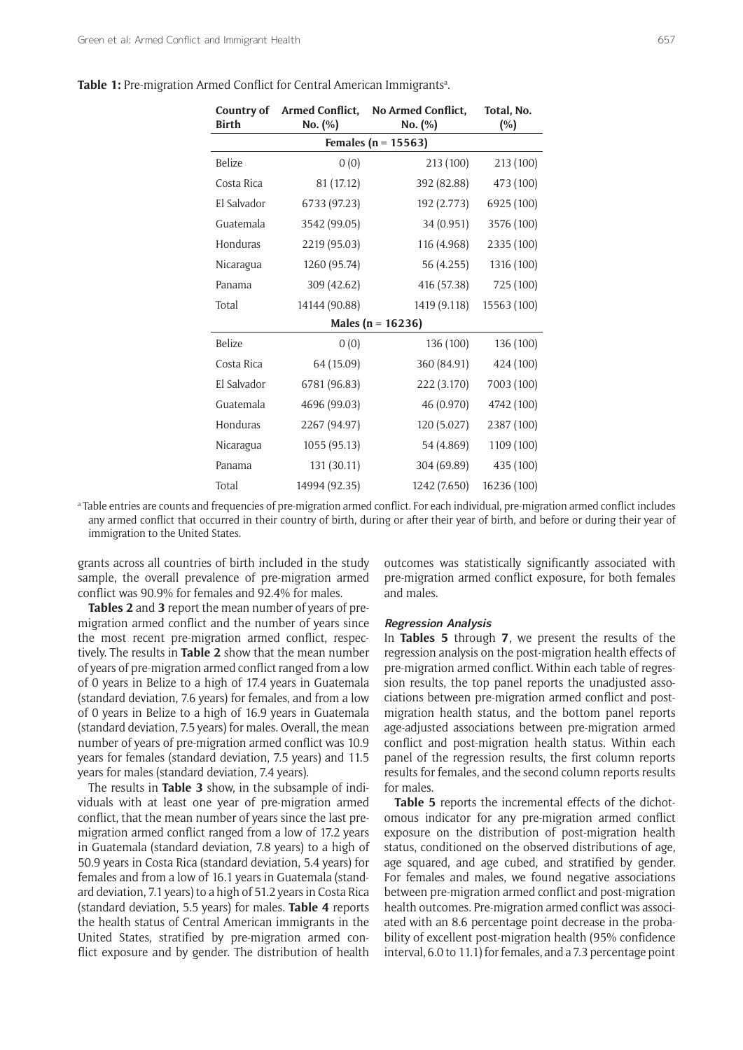| Table 1: Pre-migration Armed Conflict for Central American Immigrants <sup>a</sup> . |  |  |
|--------------------------------------------------------------------------------------|--|--|
|                                                                                      |  |  |

| Country of<br><b>Birth</b> | <b>Armed Conflict,</b><br>No. (%) | No Armed Conflict,<br>No. (%) | Total, No.<br>(%) |
|----------------------------|-----------------------------------|-------------------------------|-------------------|
|                            |                                   | Females ( $n = 15563$ )       |                   |
| Belize                     | 0(0)                              | 213 (100)                     | 213 (100)         |
| Costa Rica                 | 81 (17.12)                        | 392 (82.88)                   | 473 (100)         |
| El Salvador                | 6733 (97.23)                      | 192 (2.773)                   | 6925 (100)        |
| Guatemala                  | 3542 (99.05)                      | 34 (0.951)                    | 3576 (100)        |
| Honduras                   | 2219 (95.03)                      | 116 (4.968)                   | 2335 (100)        |
| Nicaragua                  | 1260 (95.74)                      | 56 (4.255)                    | 1316 (100)        |
| Panama                     | 309 (42.62)                       | 416 (57.38)                   | 725 (100)         |
| Total                      | 14144 (90.88)                     | 1419 (9.118)                  | 15563 (100)       |
|                            |                                   | Males ( $n = 16236$ )         |                   |
| Belize                     | 0(0)                              | 136 (100)                     | 136 (100)         |
| Costa Rica                 | 64 (15.09)                        | 360 (84.91)                   | 424 (100)         |
| El Salvador                | 6781 (96.83)                      | 222 (3.170)                   | 7003 (100)        |
| Guatemala                  | 4696 (99.03)                      | 46 (0.970)                    | 4742 (100)        |
| Honduras                   | 2267 (94.97)                      | 120 (5.027)                   | 2387 (100)        |
| Nicaragua                  | 1055 (95.13)                      | 54 (4.869)                    | 1109 (100)        |
| Panama                     | 131 (30.11)                       | 304 (69.89)                   | 435 (100)         |
| Total                      | 14994 (92.35)                     | 1242 (7.650)                  | 16236 (100)       |

a Table entries are counts and frequencies of pre-migration armed conflict. For each individual, pre-migration armed conflict includes any armed conflict that occurred in their country of birth, during or after their year of birth, and before or during their year of immigration to the United States.

grants across all countries of birth included in the study sample, the overall prevalence of pre-migration armed conflict was 90.9% for females and 92.4% for males.

**Tables 2** and **3** report the mean number of years of premigration armed conflict and the number of years since the most recent pre-migration armed conflict, respectively. The results in **Table 2** show that the mean number of years of pre-migration armed conflict ranged from a low of 0 years in Belize to a high of 17.4 years in Guatemala (standard deviation, 7.6 years) for females, and from a low of 0 years in Belize to a high of 16.9 years in Guatemala (standard deviation, 7.5 years) for males. Overall, the mean number of years of pre-migration armed conflict was 10.9 years for females (standard deviation, 7.5 years) and 11.5 years for males (standard deviation, 7.4 years).

The results in **Table 3** show, in the subsample of individuals with at least one year of pre-migration armed conflict, that the mean number of years since the last premigration armed conflict ranged from a low of 17.2 years in Guatemala (standard deviation, 7.8 years) to a high of 50.9 years in Costa Rica (standard deviation, 5.4 years) for females and from a low of 16.1 years in Guatemala (standard deviation, 7.1 years) to a high of 51.2 years in Costa Rica (standard deviation, 5.5 years) for males. **Table 4** reports the health status of Central American immigrants in the United States, stratified by pre-migration armed conflict exposure and by gender. The distribution of health

outcomes was statistically significantly associated with pre-migration armed conflict exposure, for both females and males.

#### **Regression Analysis**

In **Tables 5** through **7**, we present the results of the regression analysis on the post-migration health effects of pre-migration armed conflict. Within each table of regression results, the top panel reports the unadjusted associations between pre-migration armed conflict and postmigration health status, and the bottom panel reports age-adjusted associations between pre-migration armed conflict and post-migration health status. Within each panel of the regression results, the first column reports results for females, and the second column reports results for males.

**Table 5** reports the incremental effects of the dichotomous indicator for any pre-migration armed conflict exposure on the distribution of post-migration health status, conditioned on the observed distributions of age, age squared, and age cubed, and stratified by gender. For females and males, we found negative associations between pre-migration armed conflict and post-migration health outcomes. Pre-migration armed conflict was associated with an 8.6 percentage point decrease in the probability of excellent post-migration health (95% confidence interval, 6.0 to 11.1) for females, and a 7.3 percentage point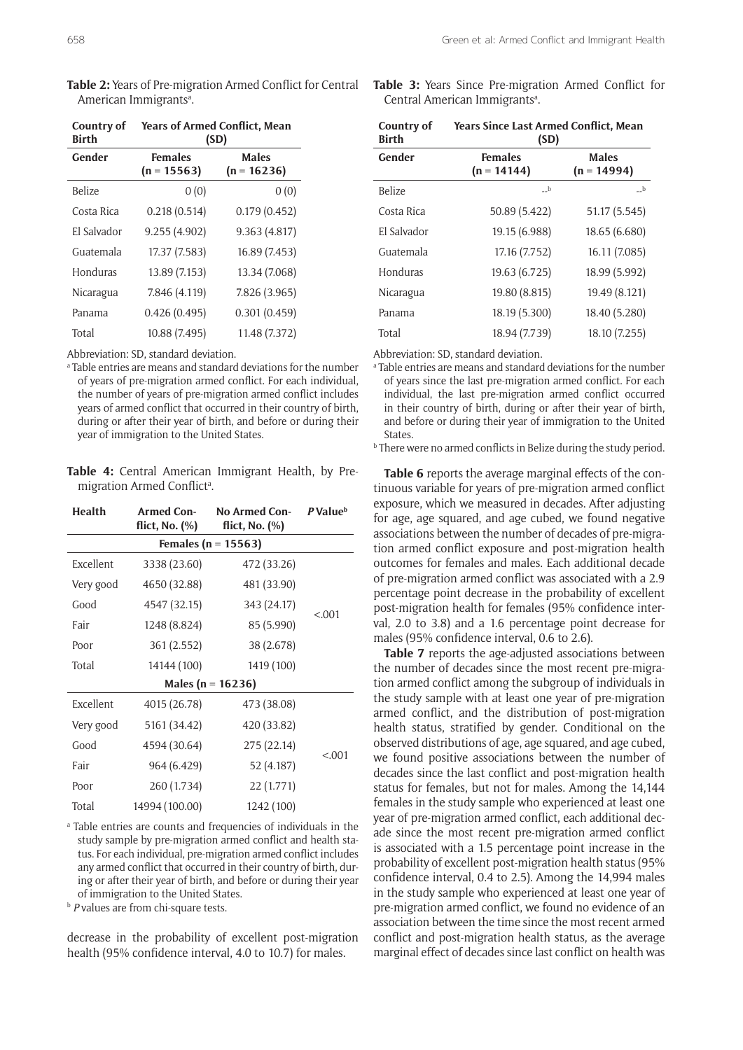| Table 2: Years of Pre-migration Armed Conflict for Central |  |
|------------------------------------------------------------|--|
| American Immigrants <sup>a</sup> .                         |  |

| Country of<br><b>Birth</b> | <b>Years of Armed Conflict, Mean</b><br>(SD) |                               |  |
|----------------------------|----------------------------------------------|-------------------------------|--|
| Gender                     | <b>Females</b><br>$(n = 15563)$              | <b>Males</b><br>$(n = 16236)$ |  |
| <b>Belize</b>              | 0(0)                                         | 0(0)                          |  |
| Costa Rica                 | 0.218(0.514)                                 | 0.179(0.452)                  |  |
| El Salvador                | 9.255 (4.902)                                | 9.363 (4.817)                 |  |
| Guatemala                  | 17.37 (7.583)                                | 16.89 (7.453)                 |  |
| Honduras                   | 13.89 (7.153)                                | 13.34 (7.068)                 |  |
| Nicaragua                  | 7.846 (4.119)                                | 7.826 (3.965)                 |  |
| Panama                     | 0.426(0.495)                                 | 0.301(0.459)                  |  |
| Total                      | 10.88 (7.495)                                | 11.48 (7.372)                 |  |

Abbreviation: SD, standard deviation.

a Table entries are means and standard deviations for the number of years of pre-migration armed conflict. For each individual, the number of years of pre-migration armed conflict includes years of armed conflict that occurred in their country of birth, during or after their year of birth, and before or during their year of immigration to the United States.

**Table 4:** Central American Immigrant Health, by Premigration Armed Conflict<sup>a</sup>.

| Health                  | Armed Con-<br>flict, No. $(\%)$ | <b>No Armed Con-</b><br>flict, No. $(\%)$ | P Value <sup>b</sup> |  |
|-------------------------|---------------------------------|-------------------------------------------|----------------------|--|
| Females ( $n = 15563$ ) |                                 |                                           |                      |  |
| Excellent               | 3338 (23.60)                    | 472 (33.26)                               |                      |  |
| Very good               | 4650 (32.88)                    | 481 (33.90)                               | < .001               |  |
| Good                    | 4547 (32.15)                    | 343 (24.17)                               |                      |  |
| Fair                    | 1248 (8.824)                    | 85 (5.990)                                |                      |  |
| Poor                    | 361 (2.552)                     |                                           |                      |  |
| Total                   | 14144 (100)                     | 1419 (100)                                |                      |  |
| Males (n = $16236$ )    |                                 |                                           |                      |  |
| Excellent               | 4015 (26.78)                    | 473 (38.08)                               |                      |  |
| Very good               | 5161 (34.42)                    | 420 (33.82)                               |                      |  |
| Good                    | 4594 (30.64)                    | 275 (22.14)                               | < .001               |  |
| Fair                    | 964 (6.429)<br>52 (4.187)       |                                           |                      |  |
| Poor                    | 260 (1.734)                     | 22 (1.771)                                |                      |  |
| Total                   | 14994 (100.00)                  | 1242 (100)                                |                      |  |

a Table entries are counts and frequencies of individuals in the study sample by pre-migration armed conflict and health status. For each individual, pre-migration armed conflict includes any armed conflict that occurred in their country of birth, during or after their year of birth, and before or during their year of immigration to the United States. b *<sup>P</sup>* values are from chi-square tests.

decrease in the probability of excellent post-migration health (95% confidence interval, 4.0 to 10.7) for males.

**Table 3:** Years Since Pre-migration Armed Conflict for Central American Immigrants<sup>a</sup>.

| Country of<br><b>Birth</b> | <b>Years Since Last Armed Conflict, Mean</b><br>(SD)             |               |
|----------------------------|------------------------------------------------------------------|---------------|
| Gender                     | <b>Males</b><br><b>Females</b><br>$(n = 14994)$<br>$(n = 14144)$ |               |
| Belize                     | $-b$                                                             | $-b$          |
| Costa Rica                 | 50.89 (5.422)                                                    | 51.17 (5.545) |
| El Salvador                | 19.15 (6.988)                                                    | 18.65 (6.680) |
| Guatemala                  | 17.16 (7.752)                                                    | 16.11 (7.085) |
| Honduras                   | 19.63 (6.725)                                                    | 18.99 (5.992) |
| Nicaragua                  | 19.80 (8.815)                                                    | 19.49 (8.121) |
| Panama                     | 18.19 (5.300)                                                    | 18.40 (5.280) |
| Total                      | 18.94 (7.739)                                                    | 18.10 (7.255) |

Abbreviation: SD, standard deviation.

a Table entries are means and standard deviations for the number of years since the last pre-migration armed conflict. For each individual, the last pre-migration armed conflict occurred in their country of birth, during or after their year of birth, and before or during their year of immigration to the United States.<br><sup>b</sup> There were no armed conflicts in Belize during the study period.

**Table 6** reports the average marginal effects of the continuous variable for years of pre-migration armed conflict exposure, which we measured in decades. After adjusting for age, age squared, and age cubed, we found negative associations between the number of decades of pre-migration armed conflict exposure and post-migration health outcomes for females and males. Each additional decade of pre-migration armed conflict was associated with a 2.9 percentage point decrease in the probability of excellent post-migration health for females (95% confidence interval, 2.0 to 3.8) and a 1.6 percentage point decrease for males (95% confidence interval, 0.6 to 2.6).

**Table 7** reports the age-adjusted associations between the number of decades since the most recent pre-migration armed conflict among the subgroup of individuals in the study sample with at least one year of pre-migration armed conflict, and the distribution of post-migration health status, stratified by gender. Conditional on the observed distributions of age, age squared, and age cubed, we found positive associations between the number of decades since the last conflict and post-migration health status for females, but not for males. Among the 14,144 females in the study sample who experienced at least one year of pre-migration armed conflict, each additional decade since the most recent pre-migration armed conflict is associated with a 1.5 percentage point increase in the probability of excellent post-migration health status (95% confidence interval, 0.4 to 2.5). Among the 14,994 males in the study sample who experienced at least one year of pre-migration armed conflict, we found no evidence of an association between the time since the most recent armed conflict and post-migration health status, as the average marginal effect of decades since last conflict on health was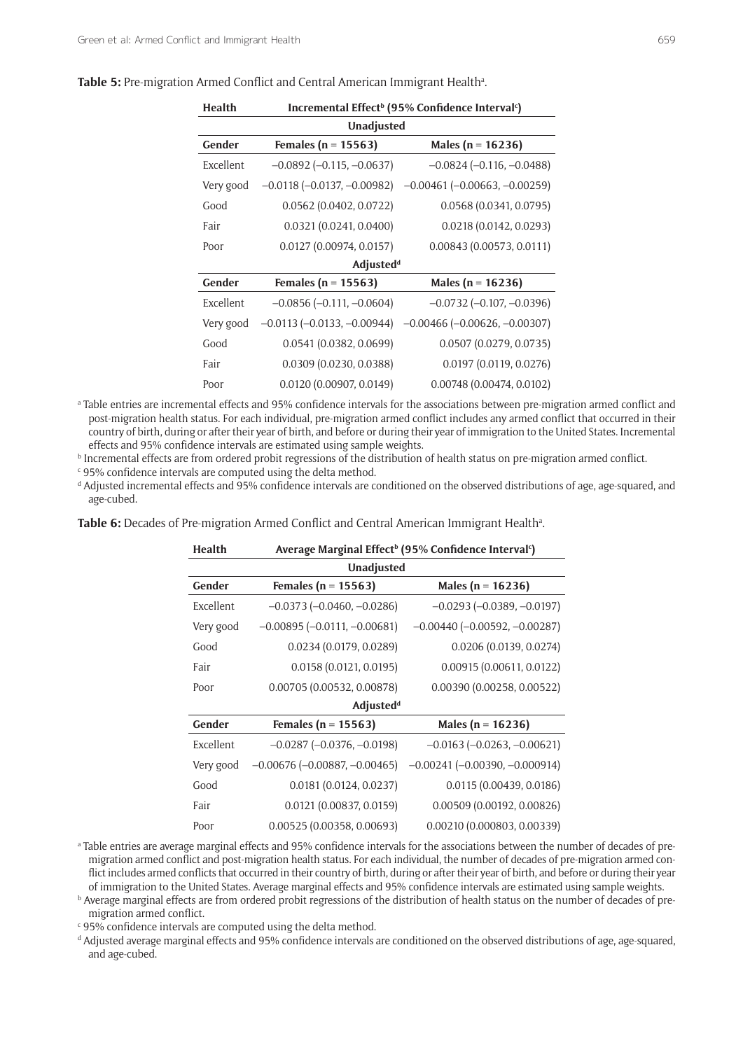| Health            | Incremental Effect <sup>b</sup> (95% Confidence Interval <sup>c</sup> ) |                                        |  |
|-------------------|-------------------------------------------------------------------------|----------------------------------------|--|
| <b>Unadjusted</b> |                                                                         |                                        |  |
| Gender            | Females ( $n = 15563$ )                                                 | Males ( $n = 16236$ )                  |  |
| Excellent         | $-0.0892$ ( $-0.115, -0.0637$ )                                         | $-0.0824(-0.116,-0.0488)$              |  |
| Very good         | $-0.0118$ ( $-0.0137$ , $-0.00982$ )                                    | $-0.00461$ ( $-0.00663$ , $-0.00259$ ) |  |
| Good              | 0.0562(0.0402, 0.0722)                                                  | 0.0568(0.0341, 0.0795)                 |  |
| Fair              | 0.0321 (0.0241, 0.0400)                                                 | 0.0218(0.0142, 0.0293)                 |  |
| Poor              | 0.0127 (0.00974, 0.0157)                                                | 0.00843(0.00573, 0.0111)               |  |
|                   | <b>Adjustedd</b>                                                        |                                        |  |
| Gender            | Females ( $n = 15563$ )                                                 | Males ( $n = 16236$ )                  |  |
| Excellent         | $-0.0856$ $(-0.111, -0.0604)$                                           | $-0.0732$ ( $-0.107$ , $-0.0396$ )     |  |
| Very good         | $-0.0113$ ( $-0.0133$ , $-0.00944$ )                                    | $-0.00466$ ( $-0.00626$ , $-0.00307$ ) |  |
| Good              | 0.0541(0.0382, 0.0699)                                                  | 0.0507 (0.0279, 0.0735)                |  |
| Fair              | 0.0309(0.0230, 0.0388)                                                  | 0.0197(0.0119, 0.0276)                 |  |
| Poor              | 0.0120(0.00907, 0.0149)                                                 | 0.00748(0.00474, 0.0102)               |  |

Table 5: Pre-migration Armed Conflict and Central American Immigrant Health<sup>a</sup>.

a Table entries are incremental effects and 95% confidence intervals for the associations between pre-migration armed conflict and post-migration health status. For each individual, pre-migration armed conflict includes any armed conflict that occurred in their country of birth, during or after their year of birth, and before or during their year of immigration to the United States. Incremental effects and 95% confidence intervals are estimated using sample weights. b

<sup>b</sup> Incremental effects are from ordered probit regressions of the distribution of health status on pre-migration armed conflict.

 $\mathfrak{c}\,$  95% confidence intervals are computed using the delta method.

d Adjusted incremental effects and 95% confidence intervals are conditioned on the observed distributions of age, age-squared, and age-cubed.

Table 6: Decades of Pre-migration Armed Conflict and Central American Immigrant Health<sup>a</sup>.

| <b>Health</b>     | Average Marginal Effect <sup>b</sup> (95% Confidence Interval <sup>c</sup> ) |                                        |  |
|-------------------|------------------------------------------------------------------------------|----------------------------------------|--|
| <b>Unadjusted</b> |                                                                              |                                        |  |
| Gender            | Females ( $n = 15563$ )                                                      | Males ( $n = 16236$ )                  |  |
| Excellent         | $-0.0373(-0.0460,-0.0286)$                                                   | $-0.0293(-0.0389, -0.0197)$            |  |
| Very good         | $-0.00895(-0.0111,-0.00681)$                                                 | $-0.00440$ ( $-0.00592$ , $-0.00287$ ) |  |
| Good              | 0.0234 (0.0179, 0.0289)                                                      | 0.0206 (0.0139, 0.0274)                |  |
| Fair              | 0.0158(0.0121, 0.0195)                                                       | 0.00915(0.00611, 0.0122)               |  |
| Poor              | 0.00705 (0.00532, 0.00878)                                                   | 0.00390(0.00258, 0.00522)              |  |
|                   | <b>Adjustedd</b>                                                             |                                        |  |
| Gender            | Females ( $n = 15563$ )                                                      | Males ( $n = 16236$ )                  |  |
| Excellent         | $-0.0287$ ( $-0.0376$ , $-0.0198$ )                                          | $-0.0163$ ( $-0.0263$ , $-0.00621$ )   |  |
| Very good         | $-0.00676$ ( $-0.00887, -0.00465$ )                                          | $-0.00241$ ( $-0.00390, -0.000914$ )   |  |
| Good              | 0.0181(0.0124, 0.0237)                                                       | 0.0115 (0.00439, 0.0186)               |  |
| Fair              | 0.0121 (0.00837, 0.0159)                                                     | 0.00509 (0.00192, 0.00826)             |  |
| Poor              | 0.00525(0.00358, 0.00693)                                                    | 0.00210 (0.000803, 0.00339)            |  |

a Table entries are average marginal effects and 95% confidence intervals for the associations between the number of decades of premigration armed conflict and post-migration health status. For each individual, the number of decades of pre-migration armed conflict includes armed conflicts that occurred in their country of birth, during or after their year of birth, and before or during their year of immigration to the United States. Average marginal effects and 95% confidence intervals are estimated using sample weights. b

**b** Average marginal effects are from ordered probit regressions of the distribution of health status on the number of decades of premigration armed conflict.

 $\mathfrak{c}\,$  95% confidence intervals are computed using the delta method.

d Adjusted average marginal effects and 95% confidence intervals are conditioned on the observed distributions of age, age-squared, and age-cubed.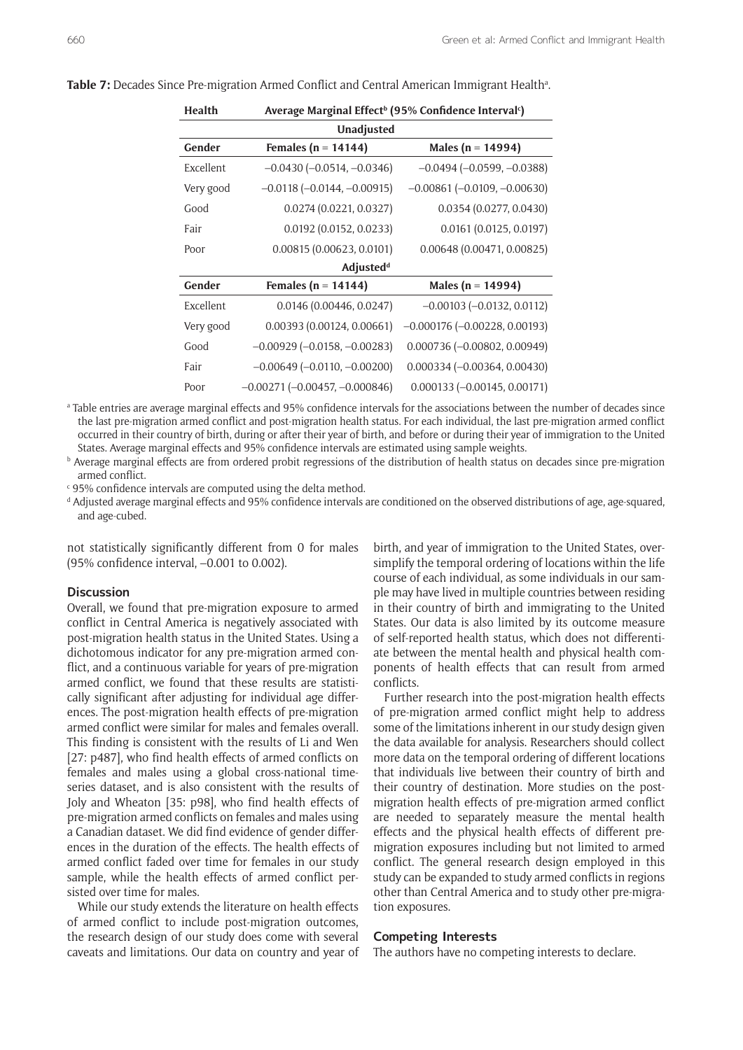| Average Marginal Effect <sup>b</sup> (95% Confidence Interval <sup>c</sup> ) |                                       |  |  |
|------------------------------------------------------------------------------|---------------------------------------|--|--|
| <b>Unadjusted</b>                                                            |                                       |  |  |
| Females ( $n = 14144$ )                                                      | Males ( $n = 14994$ )                 |  |  |
| $-0.0430$ ( $-0.0514$ , $-0.0346$ )                                          | $-0.0494 (-0.0599, -0.0388)$          |  |  |
| $-0.0118 (-0.0144, -0.00915)$                                                | $-0.00861$ ( $-0.0109$ , $-0.00630$ ) |  |  |
| 0.0274(0.0221, 0.0327)                                                       | 0.0354(0.0277, 0.0430)                |  |  |
| 0.0192(0.0152, 0.0233)                                                       | 0.0161(0.0125, 0.0197)                |  |  |
| 0.00815(0.00623, 0.0101)                                                     | 0.00648 (0.00471, 0.00825)            |  |  |
| <b>Adjustedd</b>                                                             |                                       |  |  |
| Females ( $n = 14144$ )                                                      | Males ( $n = 14994$ )                 |  |  |
| 0.0146(0.00446, 0.0247)                                                      | $-0.00103$ $(-0.0132, 0.0112)$        |  |  |
| 0.00393(0.00124, 0.00661)                                                    | $-0.000176$ $(-0.00228, 0.00193)$     |  |  |
| $-0.00929$ ( $-0.0158$ , $-0.00283$ )                                        | $0.000736 (-0.00802, 0.00949)$        |  |  |
| $-0.00649$ ( $-0.0110, -0.00200$ )                                           | $0.000334 (-0.00364, 0.00430)$        |  |  |
| $-0.00271(-0.00457, -0.000846)$                                              | $0.000133 (-0.00145, 0.00171)$        |  |  |
|                                                                              |                                       |  |  |

Table 7: Decades Since Pre-migration Armed Conflict and Central American Immigrant Health<sup>a</sup>.

a Table entries are average marginal effects and 95% confidence intervals for the associations between the number of decades since the last pre-migration armed conflict and post-migration health status. For each individual, the last pre-migration armed conflict occurred in their country of birth, during or after their year of birth, and before or during their year of immigration to the United States. Average marginal effects and 95% confidence intervals are estimated using sample weights. b

**b** Average marginal effects are from ordered probit regressions of the distribution of health status on decades since pre-migration armed conflict.

c 95% confidence intervals are computed using the delta method.

d Adjusted average marginal effects and 95% confidence intervals are conditioned on the observed distributions of age, age-squared, and age-cubed.

not statistically significantly different from 0 for males (95% confidence interval, –0.001 to 0.002).

#### **Discussion**

Overall, we found that pre-migration exposure to armed conflict in Central America is negatively associated with post-migration health status in the United States. Using a dichotomous indicator for any pre-migration armed conflict, and a continuous variable for years of pre-migration armed conflict, we found that these results are statistically significant after adjusting for individual age differences. The post-migration health effects of pre-migration armed conflict were similar for males and females overall. This finding is consistent with the results of Li and Wen [27: p487], who find health effects of armed conflicts on females and males using a global cross-national timeseries dataset, and is also consistent with the results of Joly and Wheaton [35: p98], who find health effects of pre-migration armed conflicts on females and males using a Canadian dataset. We did find evidence of gender differences in the duration of the effects. The health effects of armed conflict faded over time for females in our study sample, while the health effects of armed conflict persisted over time for males.

While our study extends the literature on health effects of armed conflict to include post-migration outcomes, the research design of our study does come with several caveats and limitations. Our data on country and year of birth, and year of immigration to the United States, oversimplify the temporal ordering of locations within the life course of each individual, as some individuals in our sample may have lived in multiple countries between residing in their country of birth and immigrating to the United States. Our data is also limited by its outcome measure of self-reported health status, which does not differentiate between the mental health and physical health components of health effects that can result from armed conflicts.

Further research into the post-migration health effects of pre-migration armed conflict might help to address some of the limitations inherent in our study design given the data available for analysis. Researchers should collect more data on the temporal ordering of different locations that individuals live between their country of birth and their country of destination. More studies on the postmigration health effects of pre-migration armed conflict are needed to separately measure the mental health effects and the physical health effects of different premigration exposures including but not limited to armed conflict. The general research design employed in this study can be expanded to study armed conflicts in regions other than Central America and to study other pre-migration exposures.

# **Competing Interests**

The authors have no competing interests to declare.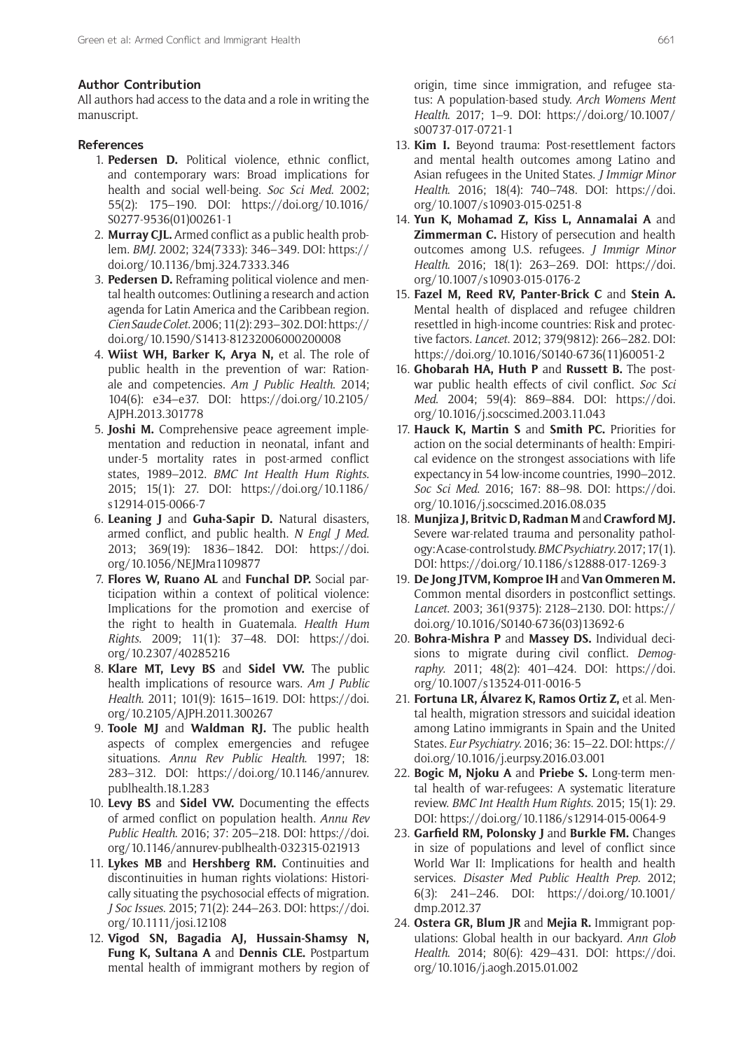#### **Author Contribution**

All authors had access to the data and a role in writing the manuscript.

# **References**

- 1. **Pedersen D.** Political violence, ethnic conflict, and contemporary wars: Broad implications for health and social well-being. *Soc Sci Med*. 2002; 55(2): 175–190. DOI: [https://doi.org/10.1016/](https://doi.org/10.1016/S0277-9536(01)00261-1) [S0277-9536\(01\)00261-1](https://doi.org/10.1016/S0277-9536(01)00261-1)
- 2. **Murray CJL.** Armed conflict as a public health problem. *BMJ*. 2002; 324(7333): 346–349. DOI: [https://](https://doi.org/10.1136/bmj.324.7333.346) [doi.org/10.1136/bmj.324.7333.346](https://doi.org/10.1136/bmj.324.7333.346)
- 3. **Pedersen D.** Reframing political violence and mental health outcomes: Outlining a research and action agenda for Latin America and the Caribbean region. *Cien Saude Colet*. 2006; 11(2): 293–302. DOI: [https://](https://doi.org/10.1590/S1413-81232006000200008) [doi.org/10.1590/S1413-81232006000200008](https://doi.org/10.1590/S1413-81232006000200008)
- 4. **Wiist WH, Barker K, Arya N,** et al. The role of public health in the prevention of war: Rationale and competencies. *Am J Public Health*. 2014; 104(6): e34–e37. DOI: [https://doi.org/10.2105/](https://doi.org/10.2105/AJPH.2013.301778) [AJPH.2013.301778](https://doi.org/10.2105/AJPH.2013.301778)
- 5. **Joshi M.** Comprehensive peace agreement implementation and reduction in neonatal, infant and under-5 mortality rates in post-armed conflict states, 1989–2012. *BMC Int Health Hum Rights*. 2015; 15(1): 27. DOI: [https://doi.org/10.1186/](https://doi.org/10.1186/s12914-015-0066-7) [s12914-015-0066-7](https://doi.org/10.1186/s12914-015-0066-7)
- 6. **Leaning J** and **Guha-Sapir D.** Natural disasters, armed conflict, and public health. *N Engl J Med*. 2013; 369(19): 1836–1842. DOI: [https://doi.](https://doi.org/10.1056/NEJMra1109877) [org/10.1056/NEJMra1109877](https://doi.org/10.1056/NEJMra1109877)
- 7. **Flores W, Ruano AL** and **Funchal DP.** Social participation within a context of political violence: Implications for the promotion and exercise of the right to health in Guatemala. *Health Hum Rights*. 2009; 11(1): 37–48. DOI: [https://doi.](https://doi.org/10.2307/40285216) [org/10.2307/40285216](https://doi.org/10.2307/40285216)
- 8. **Klare MT, Levy BS** and **Sidel VW.** The public health implications of resource wars. *Am J Public Health*. 2011; 101(9): 1615–1619. DOI: [https://doi.](https://doi.org/10.2105/AJPH.2011.300267) [org/10.2105/AJPH.2011.300267](https://doi.org/10.2105/AJPH.2011.300267)
- 9. **Toole MJ** and **Waldman RJ.** The public health aspects of complex emergencies and refugee situations. *Annu Rev Public Health*. 1997; 18: 283–312. DOI: [https://doi.org/10.1146/annurev.](https://doi.org/10.1146/annurev.publhealth.18.1.283) [publhealth.18.1.283](https://doi.org/10.1146/annurev.publhealth.18.1.283)
- 10. **Levy BS** and **Sidel VW.** Documenting the effects of armed conflict on population health. *Annu Rev Public Health*. 2016; 37: 205–218. DOI: [https://doi.](https://doi.org/10.1146/annurev-publhealth-032315-021913) [org/10.1146/annurev-publhealth-032315-021913](https://doi.org/10.1146/annurev-publhealth-032315-021913)
- 11. **Lykes MB** and **Hershberg RM.** Continuities and discontinuities in human rights violations: Historically situating the psychosocial effects of migration. *J Soc Issues*. 2015; 71(2): 244–263. DOI: [https://doi.](https://doi.org/10.1111/josi.12108) [org/10.1111/josi.12108](https://doi.org/10.1111/josi.12108)
- 12. **Vigod SN, Bagadia AJ, Hussain-Shamsy N, Fung K, Sultana A** and **Dennis CLE.** Postpartum mental health of immigrant mothers by region of

origin, time since immigration, and refugee status: A population-based study. *Arch Womens Ment Health*. 2017; 1–9. DOI: [https://doi.org/10.1007/](https://doi.org/10.1007/s00737-017-0721-1) [s00737-017-0721-1](https://doi.org/10.1007/s00737-017-0721-1)

- 13. **Kim I.** Beyond trauma: Post-resettlement factors and mental health outcomes among Latino and Asian refugees in the United States. *J Immigr Minor Health*. 2016; 18(4): 740–748. DOI: [https://doi.](https://doi.org/10.1007/s10903-015-0251-8) [org/10.1007/s10903-015-0251-8](https://doi.org/10.1007/s10903-015-0251-8)
- 14. **Yun K, Mohamad Z, Kiss L, Annamalai A** and **Zimmerman C.** History of persecution and health outcomes among U.S. refugees. *J Immigr Minor Health*. 2016; 18(1): 263–269. DOI: [https://doi.](https://doi.org/10.1007/s10903-015-0176-2) [org/10.1007/s10903-015-0176-2](https://doi.org/10.1007/s10903-015-0176-2)
- 15. **Fazel M, Reed RV, Panter-Brick C** and **Stein A.** Mental health of displaced and refugee children resettled in high-income countries: Risk and protective factors. *Lancet*. 2012; 379(9812): 266–282. DOI: [https://doi.org/10.1016/S0140-6736\(11\)60051-2](https://doi.org/10.1016/S0140-6736(11)60051-2)
- 16. **Ghobarah HA, Huth P** and **Russett B.** The postwar public health effects of civil conflict. *Soc Sci Med*. 2004; 59(4): 869–884. DOI: [https://doi.](https://doi.org/10.1016/j.socscimed.2003.11.043) [org/10.1016/j.socscimed.2003.11.043](https://doi.org/10.1016/j.socscimed.2003.11.043)
- 17. **Hauck K, Martin S** and **Smith PC.** Priorities for action on the social determinants of health: Empirical evidence on the strongest associations with life expectancy in 54 low-income countries, 1990–2012. *Soc Sci Med*. 2016; 167: 88–98. DOI: [https://doi.](https://doi.org/10.1016/j.socscimed.2016.08.035) [org/10.1016/j.socscimed.2016.08.035](https://doi.org/10.1016/j.socscimed.2016.08.035)
- 18. **Munjiza J, Britvic D, Radman M** and **Crawford MJ.** Severe war-related trauma and personality pathology: A case-control study. *BMC Psychiatry*. 2017; 17(1). DOI: <https://doi.org/10.1186/s12888-017-1269-3>
- 19. **De Jong JTVM, Komproe IH** and **Van Ommeren M.**  Common mental disorders in postconflict settings. *Lancet*. 2003; 361(9375): 2128–2130. DOI: [https://](https://doi.org/10.1016/S0140-6736(03)13692-6) [doi.org/10.1016/S0140-6736\(03\)13692-6](https://doi.org/10.1016/S0140-6736(03)13692-6)
- 20. **Bohra-Mishra P** and **Massey DS.** Individual decisions to migrate during civil conflict. *Demography*. 2011; 48(2): 401–424. DOI: [https://doi.](https://doi.org/10.1007/s13524-011-0016-5) [org/10.1007/s13524-011-0016-5](https://doi.org/10.1007/s13524-011-0016-5)
- 21. **Fortuna LR, Álvarez K, Ramos Ortiz Z,** et al. Mental health, migration stressors and suicidal ideation among Latino immigrants in Spain and the United States. *Eur Psychiatry*. 2016; 36: 15–22. DOI: [https://](https://doi.org/10.1016/j.eurpsy.2016.03.001) [doi.org/10.1016/j.eurpsy.2016.03.001](https://doi.org/10.1016/j.eurpsy.2016.03.001)
- 22. **Bogic M, Njoku A** and **Priebe S.** Long-term mental health of war-refugees: A systematic literature review. *BMC Int Health Hum Rights*. 2015; 15(1): 29. DOI: <https://doi.org/10.1186/s12914-015-0064-9>
- 23. **Garfield RM, Polonsky J** and **Burkle FM.** Changes in size of populations and level of conflict since World War II: Implications for health and health services. *Disaster Med Public Health Prep*. 2012; 6(3): 241–246. DOI: [https://doi.org/10.1001/](https://doi.org/10.1001/dmp.2012.37) [dmp.2012.37](https://doi.org/10.1001/dmp.2012.37)
- 24. **Ostera GR, Blum JR** and **Mejia R.** Immigrant populations: Global health in our backyard. *Ann Glob Health*. 2014; 80(6): 429–431. DOI: [https://doi.](https://doi.org/10.1016/j.aogh.2015.01.002) [org/10.1016/j.aogh.2015.01.002](https://doi.org/10.1016/j.aogh.2015.01.002)